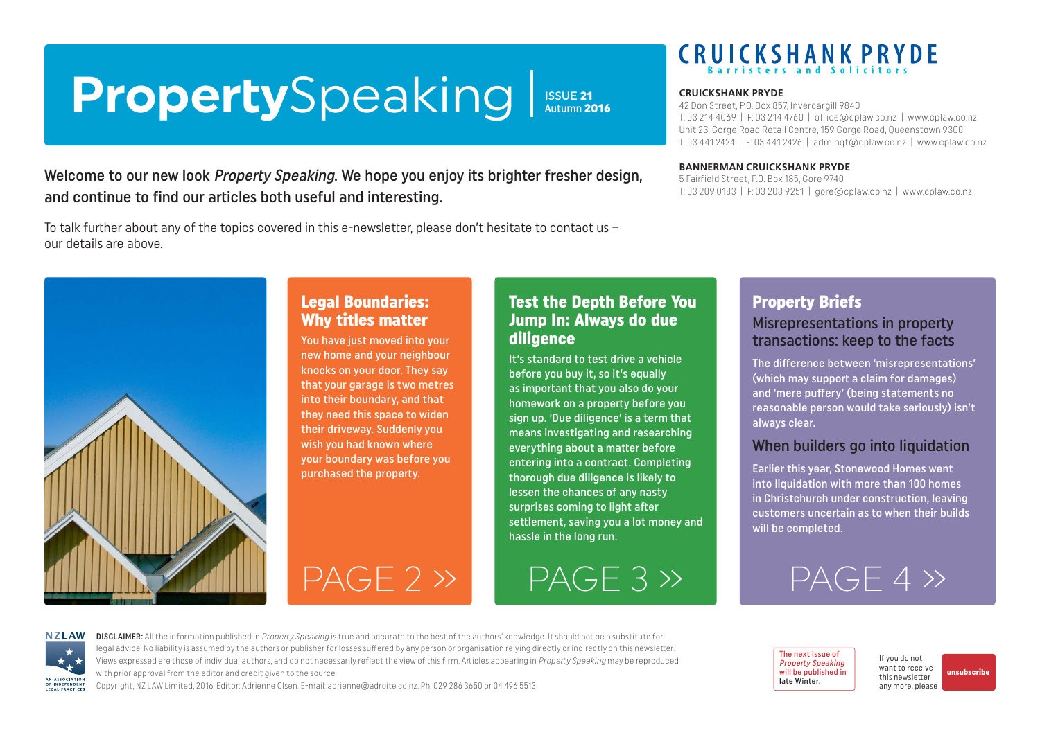# <span id="page-0-0"></span>**Property**Speaking

**ISSUE 21**<br>Autumn 2016

### Welcome to our new look *Property Speaking*. We hope you enjoy its brighter fresher design, and continue to find our articles both useful and interesting.

To talk further about any of the topics covered in this e-newsletter, please don't hesitate to contact us – our details are above.



## Legal Boundaries: Why titles matter

You have just moved into your new home and your neighbour knocks on your door. They say that your garage is two metres into their boundary, and that they need this space to widen their driveway. Suddenly you wish you had known where your boundary was before you purchased the property.



It's standard to test drive a vehicle before you buy it, so it's equally as important that you also do your homework on a property before you sign up. 'Due diligence' is a term that means investigating and researching everything about a matter before entering into a contract. Completing thorough due diligence is likely to lessen the chances of any nasty surprises coming to light after settlement, saving you a lot money and hassle in the long run.

[PAGE 2 »](#page-1-0) [PAGE 3 »](#page-2-0) [PAGE 4 »](#page-3-0)

# **CRUICKSHANK PRYDE**

#### **CRUICKSHANK PRYDE**

42 Don Street, P.O. Box 857, Invercargill 9840 T: 03 214 4069 | F: 03 214 4760 | [office@cplaw.co.nz](mailto:office%40cplaw.co.nz?subject=) | www.cplaw.co.nz Unit 23, Gorge Road Retail Centre, 159 Gorge Road, Queenstown 9300 T: 03 441 2424 | F: 03 441 2426 | adminqt@cplaw.co.nz | www.cplaw.co.nz

#### **BANNERMAN CRUICKSHANK PRYDE**

5 Fairfield Street, P.O. Box 185, Gore 9740 T: 03 209 0183 | F: 03 208 9251 | gore@cplaw.co.nz | www.cplaw.co.nz

### Property Briefs Misrepresentations in property transactions: keep to the facts

The difference between 'misrepresentations' (which may support a claim for damages) and 'mere puffery' (being statements no reasonable person would take seriously) isn't always clear.

#### When builders go into liquidation

Earlier this year, Stonewood Homes went into liquidation with more than 100 homes in Christchurch under construction, leaving customers uncertain as to when their builds will be completed.



DISCLAIMER: All the information published in Property Speaking is true and accurate to the best of the authors' knowledge. It should not be a substitute for legal advice. No liability is assumed by the authors or publisher for losses suffered by any person or organisation relying directly or indirectly on this newsletter. Views expressed are those of individual authors, and do not necessarily reflect the view of this firm. Articles appearing in Property Speaking may be reproduced with prior approval from the editor and credit given to the source.

Copyright, NZ LAW Limited, 2016. Editor: Adrienne Olsen. [E-mail: adrienne@adroite.co.nz](mailto:adrienne@adroite.co.nz). Ph: 029 286 3650 or 04 496 5513.

The next issue of Property Speaking will be published in late Winter.

If you do not want to receive this newsletter any more, please [unsubscribe](mailto:adrienne%40adroite.co.nz?subject=Property%20Speaking%20-%20unsubscribe%20me%20please)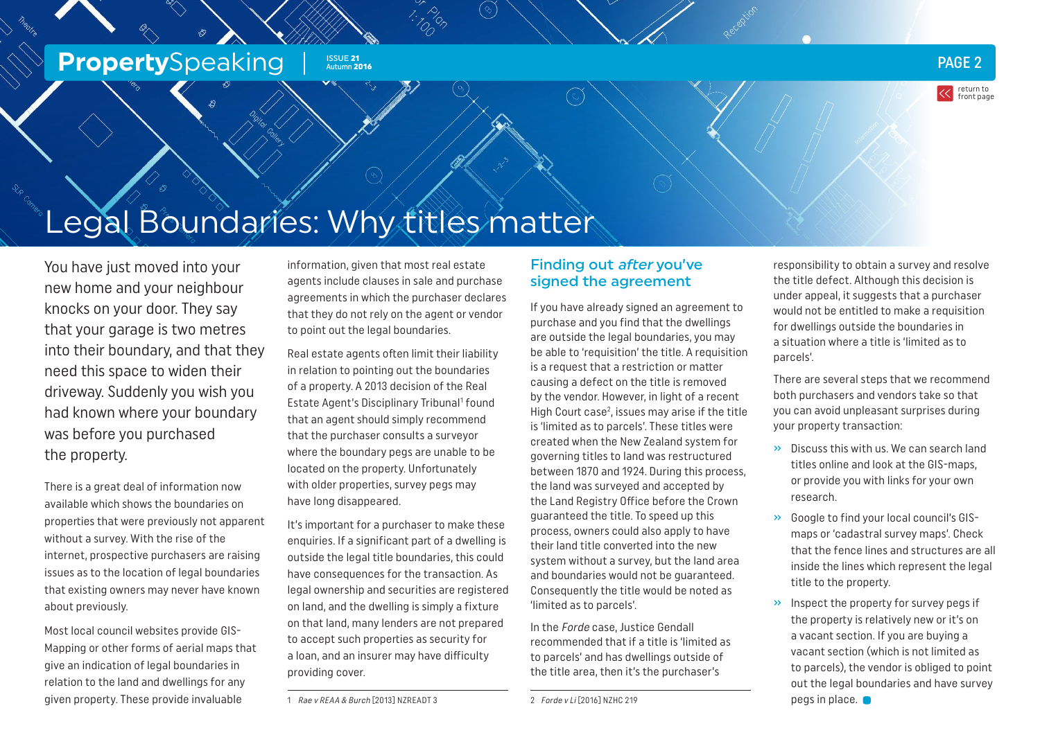#### <span id="page-1-0"></span>**Property**Speaking **Property**Speaking **PAGE 2** ISSUE 21 Autumn 2016

return to [front page](#page-0-0)

Legal Boundaries: Why titles matter

You have just moved into your new home and your neighbour knocks on your door. They say that your garage is two metres into their boundary, and that they need this space to widen their driveway. Suddenly you wish you had known where your boundary was before you purchased the property.

There is a great deal of information now available which shows the boundaries on properties that were previously not apparent without a survey. With the rise of the internet, prospective purchasers are raising issues as to the location of legal boundaries that existing owners may never have known about previously.

Most local council websites provide GIS-Mapping or other forms of aerial maps that give an indication of legal boundaries in relation to the land and dwellings for any given property. These provide invaluable

information, given that most real estate agents include clauses in sale and purchase agreements in which the purchaser declares that they do not rely on the agent or vendor to point out the legal boundaries.

Real estate agents often limit their liability in relation to pointing out the boundaries of a property. A 2013 decision of the Real Estate Agent's Disciplinary Tribunal<sup>1</sup> found that an agent should simply recommend that the purchaser consults a surveyor where the boundary pegs are unable to be located on the property. Unfortunately with older properties, survey pegs may have long disappeared.

It's important for a purchaser to make these enquiries. If a significant part of a dwelling is outside the legal title boundaries, this could have consequences for the transaction. As legal ownership and securities are registered on land, and the dwelling is simply a fixture on that land, many lenders are not prepared to accept such properties as security for a loan, and an insurer may have difficulty providing cover.

1 Rae v REAA & Burch [2013] NZREADT 3

#### Finding out after you've signed the agreement

If you have already signed an agreement to purchase and you find that the dwellings are outside the legal boundaries, you may be able to 'requisition' the title. A requisition is a request that a restriction or matter causing a defect on the title is removed by the vendor. However, in light of a recent High Court  $case<sup>2</sup>$ , issues may arise if the title is 'limited as to parcels'. These titles were created when the New Zealand system for governing titles to land was restructured between 1870 and 1924. During this process, the land was surveyed and accepted by the Land Registry Office before the Crown guaranteed the title. To speed up this process, owners could also apply to have their land title converted into the new system without a survey, but the land area and boundaries would not be guaranteed. Consequently the title would be noted as 'limited as to parcels'.

In the Forde case, Justice Gendall recommended that if a title is 'limited as to parcels' and has dwellings outside of the title area, then it's the purchaser's

2 Forde v Li [2016] NZHC 219

responsibility to obtain a survey and resolve the title defect. Although this decision is under appeal, it suggests that a purchaser would not be entitled to make a requisition for dwellings outside the boundaries in a situation where a title is 'limited as to parcels'.

There are several steps that we recommend both purchasers and vendors take so that you can avoid unpleasant surprises during your property transaction:

- » Discuss this with us. We can search land titles online and look at the GIS-maps, or provide you with links for your own research.
- » Google to find your local council's GISmaps or 'cadastral survey maps'. Check that the fence lines and structures are all inside the lines which represent the legal title to the property.
- » Inspect the property for survey pegs if the property is relatively new or it's on a vacant section. If you are buying a vacant section (which is not limited as to parcels), the vendor is obliged to point out the legal boundaries and have survey  $p$ egs in place.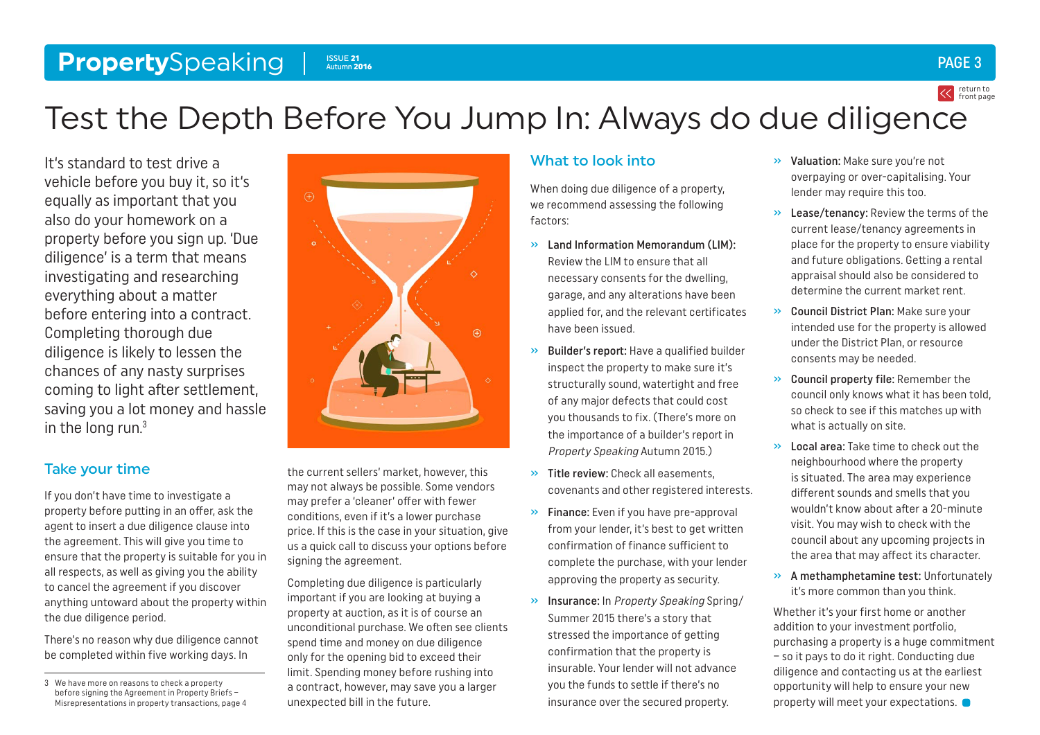#### <span id="page-2-0"></span>**Property**Speaking Issue 21 Autumn 2016

# Test the Depth Before You Jump In: Always do due diligence

It's standard to test drive a vehicle before you buy it, so it's equally as important that you also do your homework on a property before you sign up. 'Due diligence' is a term that means investigating and researching everything about a matter before entering into a contract. Completing thorough due diligence is likely to lessen the chances of any nasty surprises coming to light after settlement, saving you a lot money and hassle in the long run.3

### Take your time

If you don't have time to investigate a property before putting in an offer, ask the agent to insert a due diligence clause into the agreement. This will give you time to ensure that the property is suitable for you in all respects, as well as giving you the ability to cancel the agreement if you discover anything untoward about the property within the due diligence period.

There's no reason why due diligence cannot be completed within five working days. In

the current sellers' market, however, this may not always be possible. Some vendors may prefer a 'cleaner' offer with fewer conditions, even if it's a lower purchase price. If this is the case in your situation, give us a quick call to discuss your options before signing the agreement.

Completing due diligence is particularly important if you are looking at buying a property at auction, as it is of course an unconditional purchase. We often see clients spend time and money on due diligence only for the opening bid to exceed their limit. Spending money before rushing into a contract, however, may save you a larger unexpected bill in the future.

### What to look into

When doing due diligence of a property, we recommend assessing the following factors:

- $\gg$  Land Information Memorandum (LIM): Review the LIM to ensure that all necessary consents for the dwelling, garage, and any alterations have been applied for, and the relevant certificates have been issued.
- » Builder's report: Have a qualified builder inspect the property to make sure it's structurally sound, watertight and free of any major defects that could cost you thousands to fix. (There's more on the importance of a builder's report in Property Speaking Autumn 2015.)
- » Title review: Check all easements, covenants and other registered interests.
- » Finance: Even if you have pre-approval from your lender, it's best to get written confirmation of finance sufficient to complete the purchase, with your lender approving the property as security.
- » Insurance: In Property Speaking Spring/ Summer 2015 there's a story that stressed the importance of getting confirmation that the property is insurable. Your lender will not advance you the funds to settle if there's no insurance over the secured property.
- » Valuation: Make sure you're not overpaying or over-capitalising. Your lender may require this too.
- » Lease/tenancy: Review the terms of the current lease/tenancy agreements in place for the property to ensure viability and future obligations. Getting a rental appraisal should also be considered to determine the current market rent.
- » Council District Plan: Make sure your intended use for the property is allowed under the District Plan, or resource consents may be needed.
- » Council property file: Remember the council only knows what it has been told, so check to see if this matches up with what is actually on site.
- » Local area: Take time to check out the neighbourhood where the property is situated. The area may experience different sounds and smells that you wouldn't know about after a 20-minute visit. You may wish to check with the council about any upcoming projects in the area that may affect its character.
- » A methamphetamine test: Unfortunately it's more common than you think.

Whether it's your first home or another addition to your investment portfolio, purchasing a property is a huge commitment – so it pays to do it right. Conducting due diligence and contacting us at the earliest opportunity will help to ensure your new property will meet your expectations.



PAGE 3

<sup>3</sup> We have more on reasons to check a property before signing the Agreement in Property Briefs – Misrepresentations in property transactions, page 4